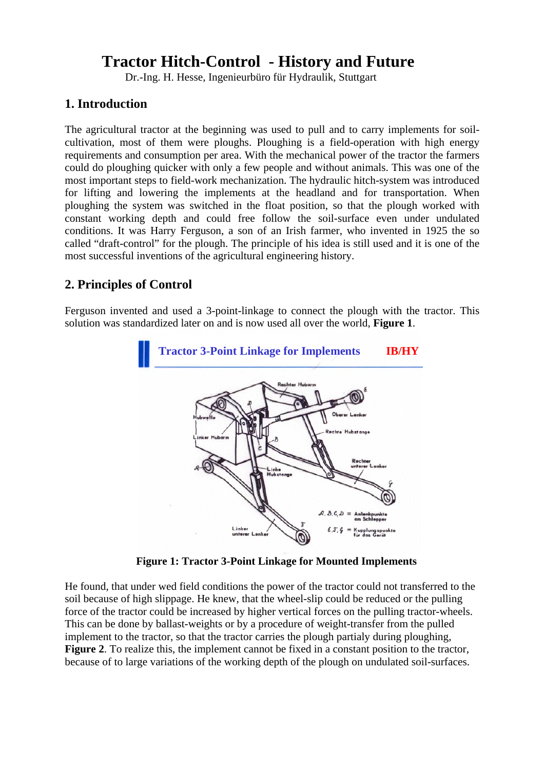# **Tractor Hitch-Control - History and Future**

Dr.-Ing. H. Hesse, Ingenieurbüro für Hydraulik, Stuttgart

## **1. Introduction**

The agricultural tractor at the beginning was used to pull and to carry implements for soilcultivation, most of them were ploughs. Ploughing is a field-operation with high energy requirements and consumption per area. With the mechanical power of the tractor the farmers could do ploughing quicker with only a few people and without animals. This was one of the most important steps to field-work mechanization. The hydraulic hitch-system was introduced for lifting and lowering the implements at the headland and for transportation. When ploughing the system was switched in the float position, so that the plough worked with constant working depth and could free follow the soil-surface even under undulated conditions. It was Harry Ferguson, a son of an Irish farmer, who invented in 1925 the so called "draft-control" for the plough. The principle of his idea is still used and it is one of the most successful inventions of the agricultural engineering history.

## **2. Principles of Control**

Ferguson invented and used a 3-point-linkage to connect the plough with the tractor. This solution was standardized later on and is now used all over the world, **Figure 1**.



**Figure 1: Tractor 3-Point Linkage for Mounted Implements** 

He found, that under wed field conditions the power of the tractor could not transferred to the soil because of high slippage. He knew, that the wheel-slip could be reduced or the pulling force of the tractor could be increased by higher vertical forces on the pulling tractor-wheels. This can be done by ballast-weights or by a procedure of weight-transfer from the pulled implement to the tractor, so that the tractor carries the plough partialy during ploughing, **Figure 2**. To realize this, the implement cannot be fixed in a constant position to the tractor, because of to large variations of the working depth of the plough on undulated soil-surfaces.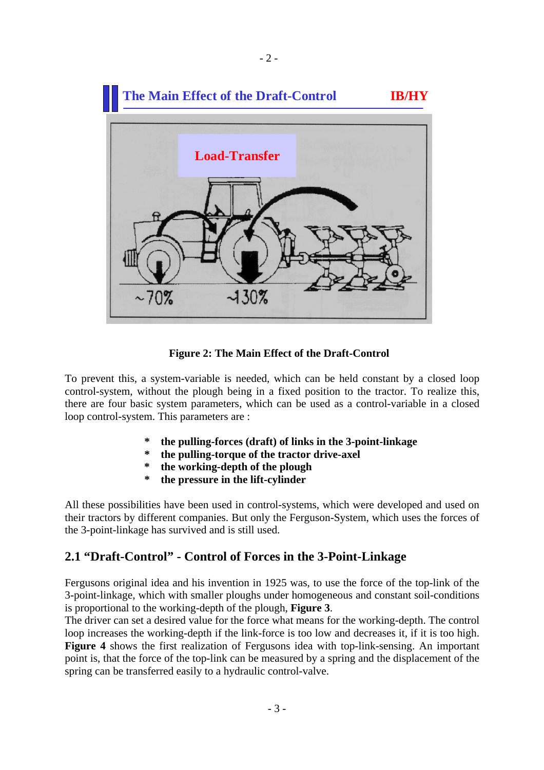

 $-2-$ 

 **Figure 2: The Main Effect of the Draft-Control** 

To prevent this, a system-variable is needed, which can be held constant by a closed loop control-system, without the plough being in a fixed position to the tractor. To realize this, there are four basic system parameters, which can be used as a control-variable in a closed loop control-system. This parameters are :

- **\* the pulling-forces (draft) of links in the 3-point-linkage**
- **\* the pulling-torque of the tractor drive-axel**
- **\* the working-depth of the plough**
- **\* the pressure in the lift-cylinder**

All these possibilities have been used in control-systems, which were developed and used on their tractors by different companies. But only the Ferguson-System, which uses the forces of the 3-point-linkage has survived and is still used.

### **2.1 "Draft-Control" - Control of Forces in the 3-Point-Linkage**

Fergusons original idea and his invention in 1925 was, to use the force of the top-link of the 3-point-linkage, which with smaller ploughs under homogeneous and constant soil-conditions is proportional to the working-depth of the plough, **Figure 3**.

The driver can set a desired value for the force what means for the working-depth. The control loop increases the working-depth if the link-force is too low and decreases it, if it is too high. **Figure 4** shows the first realization of Fergusons idea with top-link-sensing. An important point is, that the force of the top-link can be measured by a spring and the displacement of the spring can be transferred easily to a hydraulic control-valve.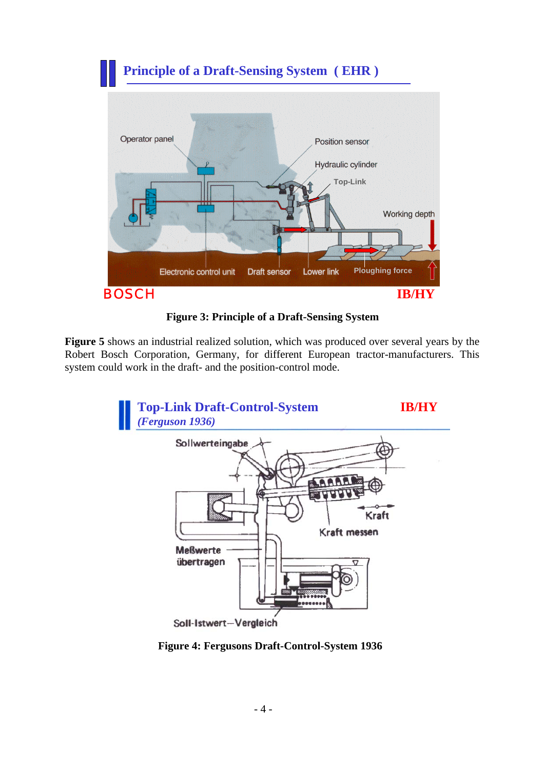

 **Figure 3: Principle of a Draft-Sensing System** 

**Figure 5** shows an industrial realized solution, which was produced over several years by the Robert Bosch Corporation, Germany, for different European tractor-manufacturers. This system could work in the draft- and the position-control mode.



**Figure 4: Fergusons Draft-Control-System 1936**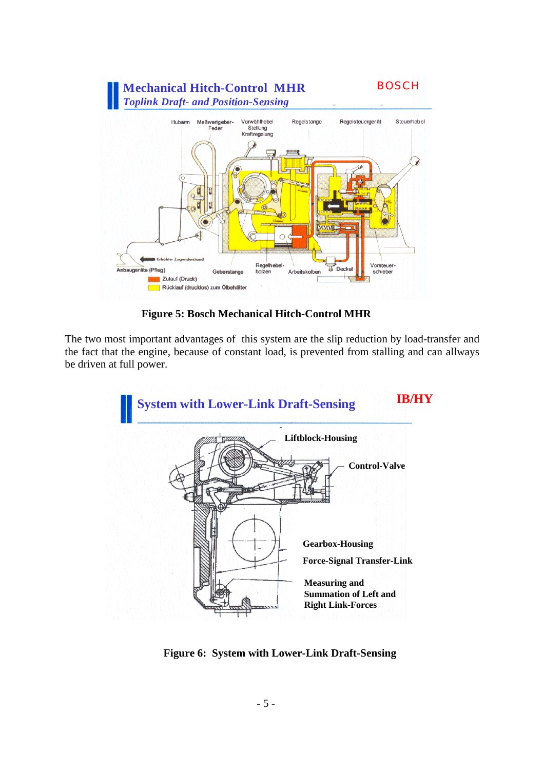

**Figure 5: Bosch Mechanical Hitch-Control MHR** 

The two most important advantages of this system are the slip reduction by load-transfer and the fact that the engine, because of constant load, is prevented from stalling and can allways be driven at full power.



**Figure 6: System with Lower-Link Draft-Sensing**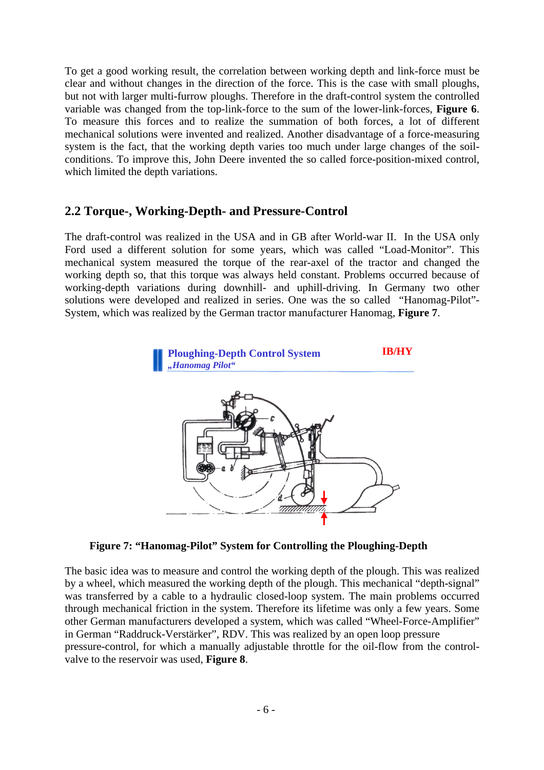To get a good working result, the correlation between working depth and link-force must be clear and without changes in the direction of the force. This is the case with small ploughs, but not with larger multi-furrow ploughs. Therefore in the draft-control system the controlled variable was changed from the top-link-force to the sum of the lower-link-forces, **Figure 6**. To measure this forces and to realize the summation of both forces, a lot of different mechanical solutions were invented and realized. Another disadvantage of a force-measuring system is the fact, that the working depth varies too much under large changes of the soilconditions. To improve this, John Deere invented the so called force-position-mixed control, which limited the depth variations.

## **2.2 Torque-, Working-Depth- and Pressure-Control**

The draft-control was realized in the USA and in GB after World-war II. In the USA only Ford used a different solution for some years, which was called "Load-Monitor". This mechanical system measured the torque of the rear-axel of the tractor and changed the working depth so, that this torque was always held constant. Problems occurred because of working-depth variations during downhill- and uphill-driving. In Germany two other solutions were developed and realized in series. One was the so called "Hanomag-Pilot"- System, which was realized by the German tractor manufacturer Hanomag, **Figure 7**.



 **Figure 7: "Hanomag-Pilot" System for Controlling the Ploughing-Depth** 

The basic idea was to measure and control the working depth of the plough. This was realized by a wheel, which measured the working depth of the plough. This mechanical "depth-signal" was transferred by a cable to a hydraulic closed-loop system. The main problems occurred through mechanical friction in the system. Therefore its lifetime was only a few years. Some other German manufacturers developed a system, which was called "Wheel-Force-Amplifier" in German "Raddruck-Verstärker", RDV. This was realized by an open loop pressure pressure-control, for which a manually adjustable throttle for the oil-flow from the controlvalve to the reservoir was used, **Figure 8**.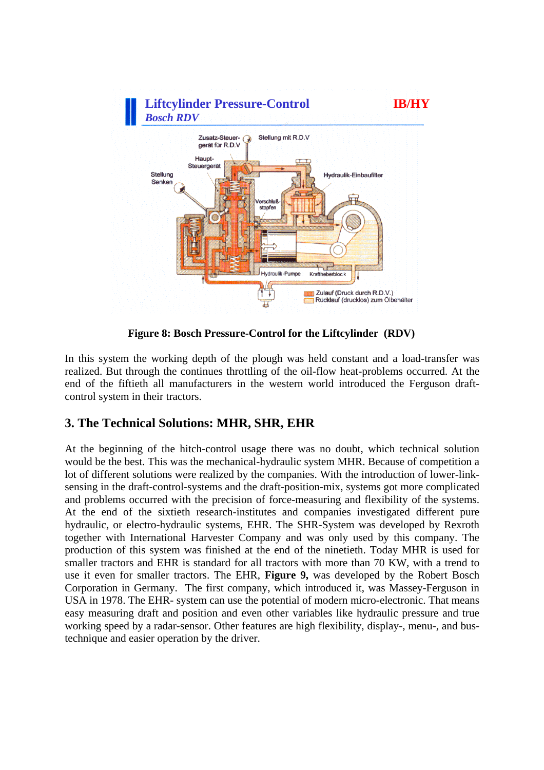

 **Figure 8: Bosch Pressure-Control for the Liftcylinder (RDV)** 

In this system the working depth of the plough was held constant and a load-transfer was realized. But through the continues throttling of the oil-flow heat-problems occurred. At the end of the fiftieth all manufacturers in the western world introduced the Ferguson draftcontrol system in their tractors.

## **3. The Technical Solutions: MHR, SHR, EHR**

At the beginning of the hitch-control usage there was no doubt, which technical solution would be the best. This was the mechanical-hydraulic system MHR. Because of competition a lot of different solutions were realized by the companies. With the introduction of lower-linksensing in the draft-control-systems and the draft-position-mix, systems got more complicated and problems occurred with the precision of force-measuring and flexibility of the systems. At the end of the sixtieth research-institutes and companies investigated different pure hydraulic, or electro-hydraulic systems, EHR. The SHR-System was developed by Rexroth together with International Harvester Company and was only used by this company. The production of this system was finished at the end of the ninetieth. Today MHR is used for smaller tractors and EHR is standard for all tractors with more than 70 KW, with a trend to use it even for smaller tractors. The EHR, **Figure 9,** was developed by the Robert Bosch Corporation in Germany. The first company, which introduced it, was Massey-Ferguson in USA in 1978. The EHR- system can use the potential of modern micro-electronic. That means easy measuring draft and position and even other variables like hydraulic pressure and true working speed by a radar-sensor. Other features are high flexibility, display-, menu-, and bustechnique and easier operation by the driver.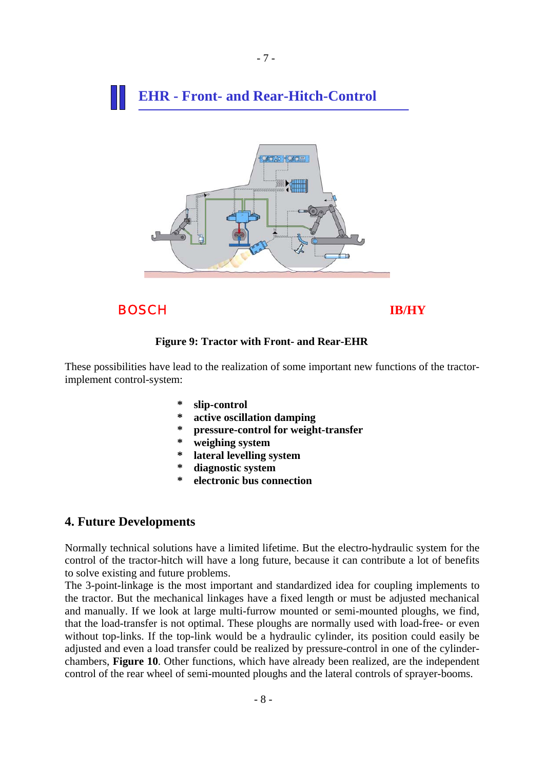# **EHR - Front- and Rear-Hitch-Control**



BOSCH **IB/HY**

#### **Figure 9: Tractor with Front- and Rear-EHR**

These possibilities have lead to the realization of some important new functions of the tractorimplement control-system:

- $slip$ -control
- **\* active oscillation damping**
- **\* pressure-control for weight-transfer**
- **\* weighing system**
- **\* lateral levelling system**
- **\* diagnostic system**
- **\* electronic bus connection**

#### **4. Future Developments**

Normally technical solutions have a limited lifetime. But the electro-hydraulic system for the control of the tractor-hitch will have a long future, because it can contribute a lot of benefits to solve existing and future problems.

The 3-point-linkage is the most important and standardized idea for coupling implements to the tractor. But the mechanical linkages have a fixed length or must be adjusted mechanical and manually. If we look at large multi-furrow mounted or semi-mounted ploughs, we find, that the load-transfer is not optimal. These ploughs are normally used with load-free- or even without top-links. If the top-link would be a hydraulic cylinder, its position could easily be adjusted and even a load transfer could be realized by pressure-control in one of the cylinderchambers, **Figure 10**. Other functions, which have already been realized, are the independent control of the rear wheel of semi-mounted ploughs and the lateral controls of sprayer-booms.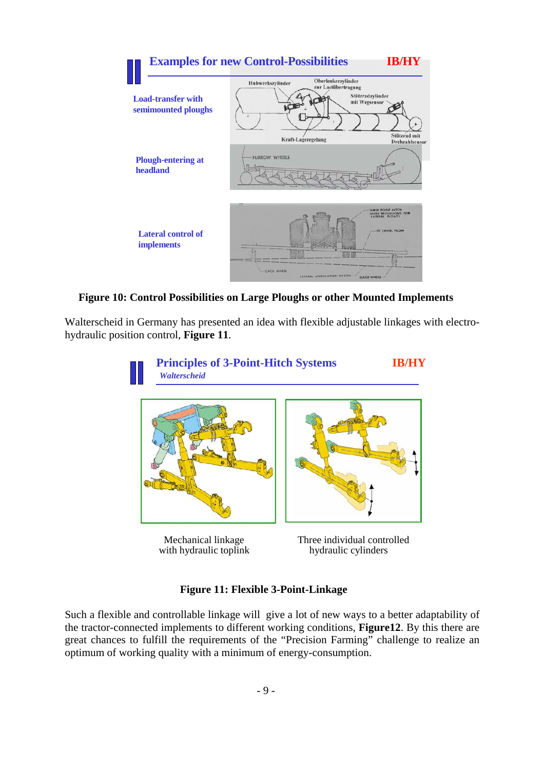

 **Figure 10: Control Possibilities on Large Ploughs or other Mounted Implements** 

Walterscheid in Germany has presented an idea with flexible adjustable linkages with electrohydraulic position control, **Figure 11**.



with hydraulic toplink hydraulic cylinders

### **Figure 11: Flexible 3-Point-Linkage**

Such a flexible and controllable linkage will give a lot of new ways to a better adaptability of the tractor-connected implements to different working conditions, **Figure12**. By this there are great chances to fulfill the requirements of the "Precision Farming" challenge to realize an optimum of working quality with a minimum of energy-consumption.